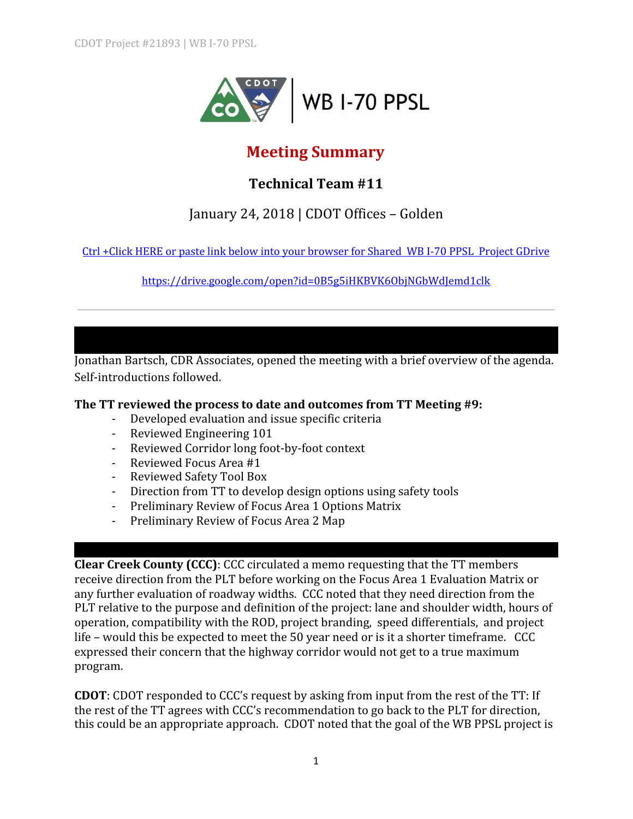

# **Meeting Summary**

## **Technical Team #11**

## January 24, 2018 | CDOT Offices – Golden

Ctrl +Click HERE or paste link below into your [browser](https://drive.google.com/open?id=0B5g5iHKBVK6ObjNGbWdJemd1clk) for Shared WB I-70 PPSL Project GDrive

<https://drive.google.com/open?id=0B5g5iHKBVK6ObjNGbWdJemd1clk>

Jonathan Bartsch, CDR Associates, opened the meeting with a brief overview of the agenda. Self-introductions followed.

#### **The TT reviewed the process to date and outcomes from TT Meeting #9:**

- Developed evaluation and issue specific criteria
- Reviewed Engineering 101
- Reviewed Corridor long foot-by-foot context
- Reviewed Focus Area #1
- Reviewed Safety Tool Box
- Direction from TT to develop design options using safety tools
- Preliminary Review of Focus Area 1 Options Matrix
- Preliminary Review of Focus Area 2 Map

**Clear Creek County (CCC)**: CCC circulated a memo requesting that the TT members receive direction from the PLT before working on the Focus Area 1 Evaluation Matrix or any further evaluation of roadway widths. CCC noted that they need direction from the PLT relative to the purpose and definition of the project: lane and shoulder width, hours of operation, compatibility with the ROD, project branding, speed differentials, and project life – would this be expected to meet the 50 year need or is it a shorter timeframe. CCC expressed their concern that the highway corridor would not get to a true maximum program.

**CDOT**: CDOT responded to CCC's request by asking from input from the rest of the TT: If the rest of the TT agrees with CCC's recommendation to go back to the PLT for direction, this could be an appropriate approach. CDOT noted that the goal of the WB PPSL project is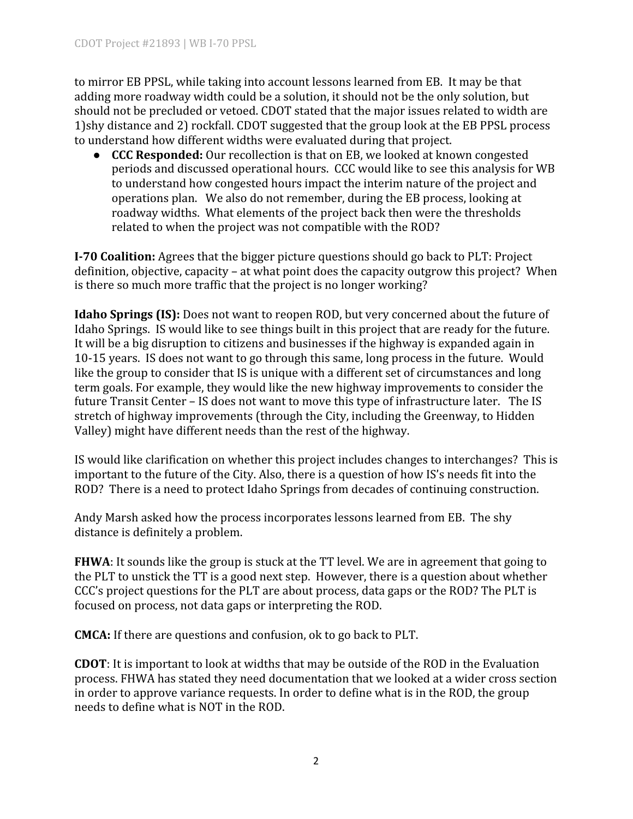to mirror EB PPSL, while taking into account lessons learned from EB. It may be that adding more roadway width could be a solution, it should not be the only solution, but should not be precluded or vetoed. CDOT stated that the major issues related to width are 1)shy distance and 2) rockfall. CDOT suggested that the group look at the EB PPSL process to understand how different widths were evaluated during that project.

● **CCC Responded:** Our recollection is that on EB, we looked at known congested periods and discussed operational hours. CCC would like to see this analysis for WB to understand how congested hours impact the interim nature of the project and operations plan. We also do not remember, during the EB process, looking at roadway widths. What elements of the project back then were the thresholds related to when the project was not compatible with the ROD?

**I-70 Coalition:** Agrees that the bigger picture questions should go back to PLT: Project definition, objective, capacity – at what point does the capacity outgrow this project? When is there so much more traffic that the project is no longer working?

**Idaho Springs (IS):** Does not want to reopen ROD, but very concerned about the future of Idaho Springs. IS would like to see things built in this project that are ready for the future. It will be a big disruption to citizens and businesses if the highway is expanded again in 10-15 years. IS does not want to go through this same, long process in the future. Would like the group to consider that IS is unique with a different set of circumstances and long term goals. For example, they would like the new highway improvements to consider the future Transit Center – IS does not want to move this type of infrastructure later. The IS stretch of highway improvements (through the City, including the Greenway, to Hidden Valley) might have different needs than the rest of the highway.

IS would like clarification on whether this project includes changes to interchanges? This is important to the future of the City. Also, there is a question of how IS's needs fit into the ROD? There is a need to protect Idaho Springs from decades of continuing construction.

Andy Marsh asked how the process incorporates lessons learned from EB. The shy distance is definitely a problem.

**FHWA**: It sounds like the group is stuck at the TT level. We are in agreement that going to the PLT to unstick the TT is a good next step. However, there is a question about whether CCC's project questions for the PLT are about process, data gaps or the ROD? The PLT is focused on process, not data gaps or interpreting the ROD.

**CMCA:** If there are questions and confusion, ok to go back to PLT.

**CDOT**: It is important to look at widths that may be outside of the ROD in the Evaluation process. FHWA has stated they need documentation that we looked at a wider cross section in order to approve variance requests. In order to define what is in the ROD, the group needs to define what is NOT in the ROD.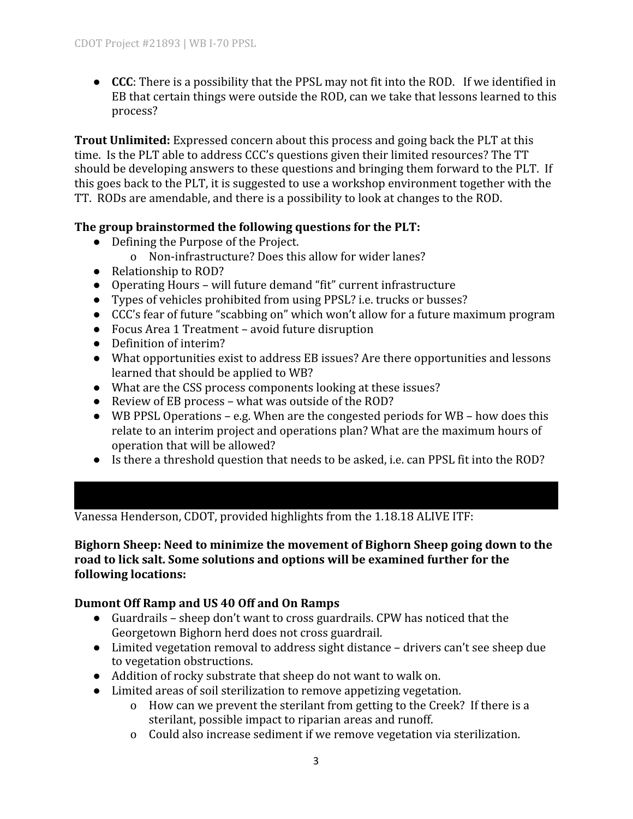● **CCC**: There is a possibility that the PPSL may not fit into the ROD. If we identified in EB that certain things were outside the ROD, can we take that lessons learned to this process?

**Trout Unlimited:** Expressed concern about this process and going back the PLT at this time. Is the PLT able to address CCC's questions given their limited resources? The TT should be developing answers to these questions and bringing them forward to the PLT. If this goes back to the PLT, it is suggested to use a workshop environment together with the TT. RODs are amendable, and there is a possibility to look at changes to the ROD.

## **The group brainstormed the following questions for the PLT:**

- Defining the Purpose of the Project.
	- o Non-infrastructure? Does this allow for wider lanes?
- Relationship to ROD?
- Operating Hours will future demand "fit" current infrastructure
- Types of vehicles prohibited from using PPSL? i.e. trucks or busses?
- CCC's fear of future "scabbing on" which won't allow for a future maximum program
- Focus Area 1 Treatment avoid future disruption
- Definition of interim?
- What opportunities exist to address EB issues? Are there opportunities and lessons learned that should be applied to WB?
- What are the CSS process components looking at these issues?
- Review of EB process what was outside of the ROD?
- WB PPSL Operations e.g. When are the congested periods for WB how does this relate to an interim project and operations plan? What are the maximum hours of operation that will be allowed?
- Is there a threshold question that needs to be asked, i.e. can PPSL fit into the ROD?

Vanessa Henderson, CDOT, provided highlights from the 1.18.18 ALIVE ITF:

**Bighorn Sheep: Need to minimize the movement of Bighorn Sheep going down to the road to lick salt. Some solutions and options will be examined further for the following locations:**

## **Dumont Off Ramp and US 40 Off and On Ramps**

- Guardrails sheep don't want to cross guardrails. CPW has noticed that the Georgetown Bighorn herd does not cross guardrail.
- Limited vegetation removal to address sight distance drivers can't see sheep due to vegetation obstructions.
- Addition of rocky substrate that sheep do not want to walk on.
- Limited areas of soil sterilization to remove appetizing vegetation.
	- o How can we prevent the sterilant from getting to the Creek? If there is a sterilant, possible impact to riparian areas and runoff.
	- o Could also increase sediment if we remove vegetation via sterilization.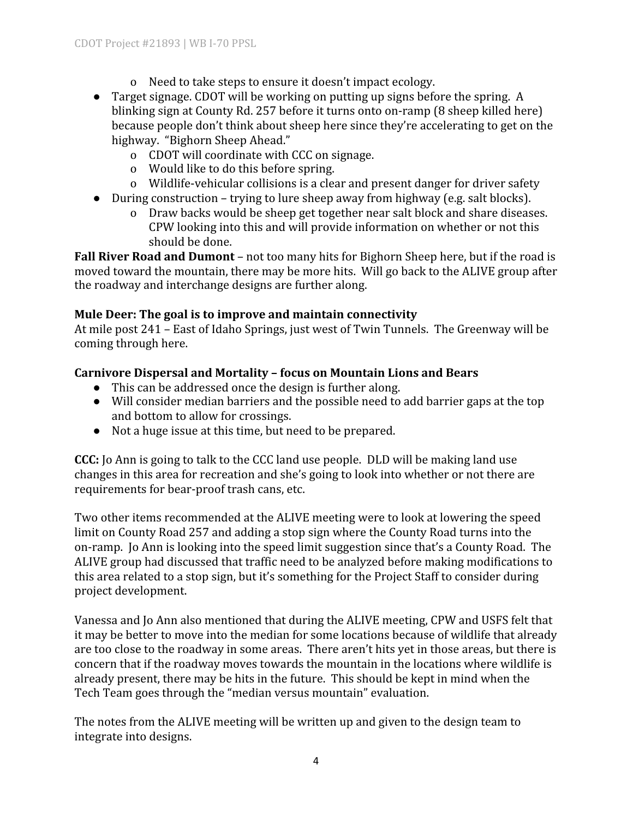- o Need to take steps to ensure it doesn't impact ecology.
- Target signage. CDOT will be working on putting up signs before the spring. A blinking sign at County Rd. 257 before it turns onto on-ramp (8 sheep killed here) because people don't think about sheep here since they're accelerating to get on the highway. "Bighorn Sheep Ahead."
	- o CDOT will coordinate with CCC on signage.
	- o Would like to do this before spring.
	- o Wildlife-vehicular collisions is a clear and present danger for driver safety
- During construction trying to lure sheep away from highway (e.g. salt blocks).
	- o Draw backs would be sheep get together near salt block and share diseases. CPW looking into this and will provide information on whether or not this should be done.

**Fall River Road and Dumont** – not too many hits for Bighorn Sheep here, but if the road is moved toward the mountain, there may be more hits. Will go back to the ALIVE group after the roadway and interchange designs are further along.

## **Mule Deer: The goal is to improve and maintain connectivity**

At mile post 241 – East of Idaho Springs, just west of Twin Tunnels. The Greenway will be coming through here.

#### **Carnivore Dispersal and Mortality – focus on Mountain Lions and Bears**

- This can be addressed once the design is further along.
- Will consider median barriers and the possible need to add barrier gaps at the top and bottom to allow for crossings.
- Not a huge issue at this time, but need to be prepared.

**CCC:** Jo Ann is going to talk to the CCC land use people. DLD will be making land use changes in this area for recreation and she's going to look into whether or not there are requirements for bear-proof trash cans, etc.

Two other items recommended at the ALIVE meeting were to look at lowering the speed limit on County Road 257 and adding a stop sign where the County Road turns into the on-ramp. Jo Ann is looking into the speed limit suggestion since that's a County Road. The ALIVE group had discussed that traffic need to be analyzed before making modifications to this area related to a stop sign, but it's something for the Project Staff to consider during project development.

Vanessa and Jo Ann also mentioned that during the ALIVE meeting, CPW and USFS felt that it may be better to move into the median for some locations because of wildlife that already are too close to the roadway in some areas. There aren't hits yet in those areas, but there is concern that if the roadway moves towards the mountain in the locations where wildlife is already present, there may be hits in the future. This should be kept in mind when the Tech Team goes through the "median versus mountain" evaluation.

The notes from the ALIVE meeting will be written up and given to the design team to integrate into designs.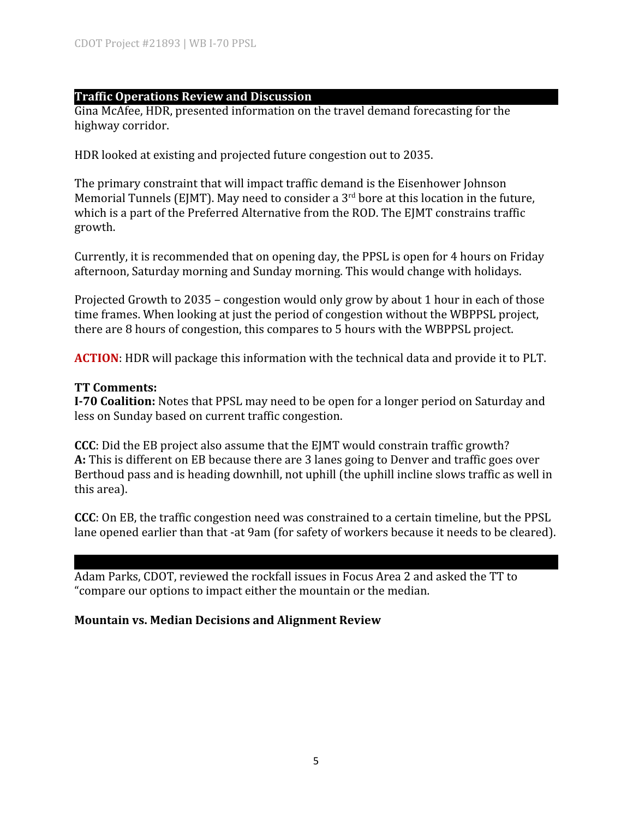#### **Traffic Operations Review and Discussion**

Gina McAfee, HDR, presented information on the travel demand forecasting for the highway corridor.

HDR looked at existing and projected future congestion out to 2035.

The primary constraint that will impact traffic demand is the Eisenhower Johnson Memorial Tunnels (EJMT). May need to consider a  $3^{\text{rd}}$  bore at this location in the future, which is a part of the Preferred Alternative from the ROD. The EIMT constrains traffic growth.

Currently, it is recommended that on opening day, the PPSL is open for 4 hours on Friday afternoon, Saturday morning and Sunday morning. This would change with holidays.

Projected Growth to 2035 – congestion would only grow by about 1 hour in each of those time frames. When looking at just the period of congestion without the WBPPSL project, there are 8 hours of congestion, this compares to 5 hours with the WBPPSL project.

**ACTION**: HDR will package this information with the technical data and provide it to PLT.

#### **TT Comments:**

**I-70 Coalition:** Notes that PPSL may need to be open for a longer period on Saturday and less on Sunday based on current traffic congestion.

**CCC**: Did the EB project also assume that the EJMT would constrain traffic growth? **A:** This is different on EB because there are 3 lanes going to Denver and traffic goes over Berthoud pass and is heading downhill, not uphill (the uphill incline slows traffic as well in this area).

**CCC**: On EB, the traffic congestion need was constrained to a certain timeline, but the PPSL lane opened earlier than that -at 9am (for safety of workers because it needs to be cleared).

Adam Parks, CDOT, reviewed the rockfall issues in Focus Area 2 and asked the TT to "compare our options to impact either the mountain or the median.

#### **Mountain vs. Median Decisions and Alignment Review**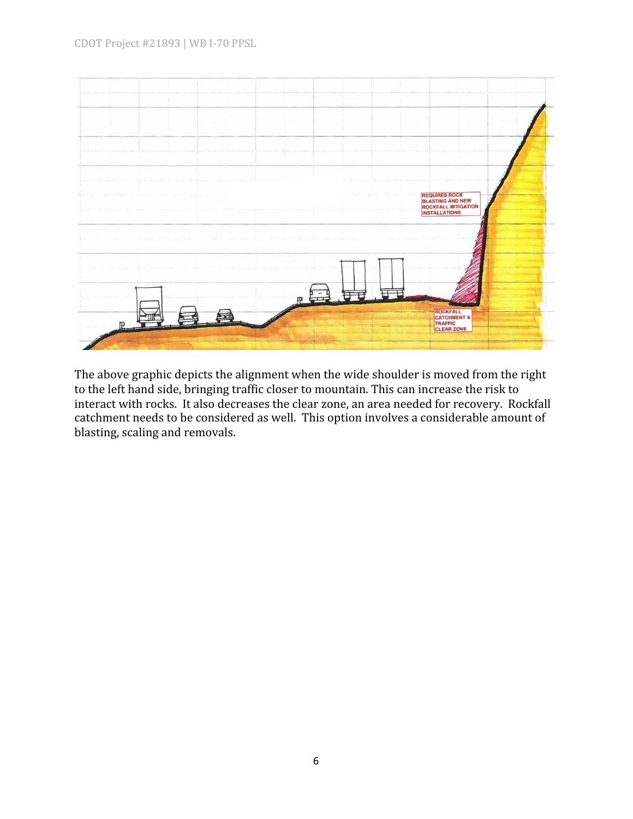

The above graphic depicts the alignment when the wide shoulder is moved from the right to the left hand side, bringing traffic closer to mountain. This can increase the risk to interact with rocks. It also decreases the clear zone, an area needed for recovery. Rockfall catchment needs to be considered as well. This option involves a considerable amount of blasting, scaling and removals.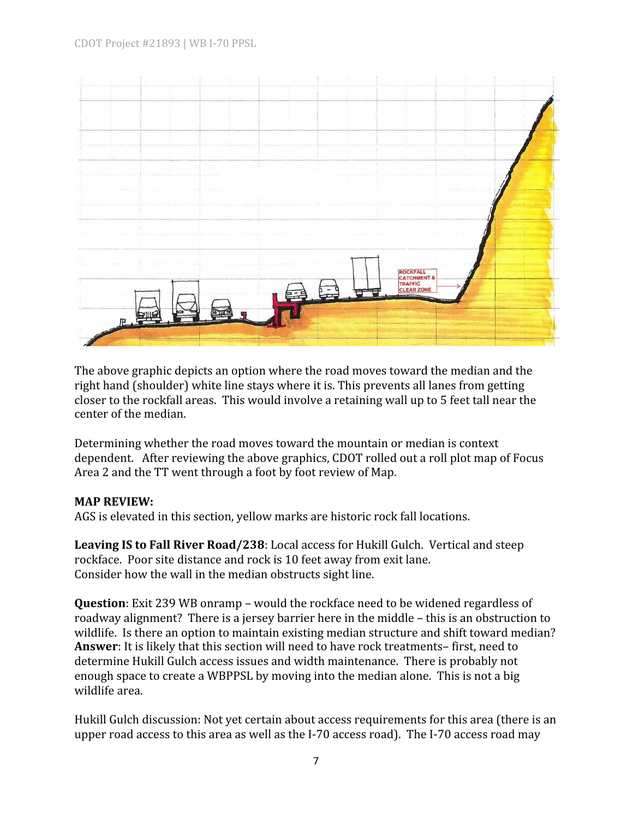

The above graphic depicts an option where the road moves toward the median and the right hand (shoulder) white line stays where it is. This prevents all lanes from getting closer to the rockfall areas. This would involve a retaining wall up to 5 feet tall near the center of the median.

Determining whether the road moves toward the mountain or median is context dependent. After reviewing the above graphics, CDOT rolled out a roll plot map of Focus Area 2 and the TT went through a foot by foot review of Map.

#### **MAP REVIEW:**

AGS is elevated in this section, yellow marks are historic rock fall locations.

**Leaving IS to Fall River Road/238**: Local access for Hukill Gulch. Vertical and steep rockface. Poor site distance and rock is 10 feet away from exit lane. Consider how the wall in the median obstructs sight line.

**Question**: Exit 239 WB onramp – would the rockface need to be widened regardless of roadway alignment? There is a jersey barrier here in the middle – this is an obstruction to wildlife. Is there an option to maintain existing median structure and shift toward median? **Answer**: It is likely that this section will need to have rock treatments– first, need to determine Hukill Gulch access issues and width maintenance. There is probably not enough space to create a WBPPSL by moving into the median alone. This is not a big wildlife area.

Hukill Gulch discussion: Not yet certain about access requirements for this area (there is an upper road access to this area as well as the I-70 access road). The I-70 access road may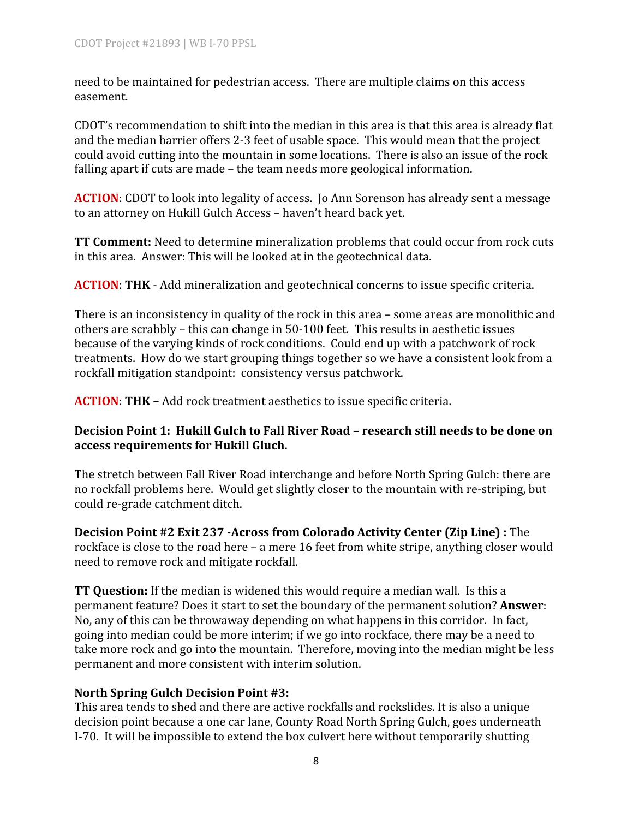need to be maintained for pedestrian access. There are multiple claims on this access easement.

CDOT's recommendation to shift into the median in this area is that this area is already flat and the median barrier offers 2-3 feet of usable space. This would mean that the project could avoid cutting into the mountain in some locations. There is also an issue of the rock falling apart if cuts are made – the team needs more geological information.

**ACTION**: CDOT to look into legality of access. Jo Ann Sorenson has already sent a message to an attorney on Hukill Gulch Access – haven't heard back yet.

**TT Comment:** Need to determine mineralization problems that could occur from rock cuts in this area. Answer: This will be looked at in the geotechnical data.

**ACTION**: **THK** - Add mineralization and geotechnical concerns to issue specific criteria.

There is an inconsistency in quality of the rock in this area – some areas are monolithic and others are scrabbly – this can change in 50-100 feet. This results in aesthetic issues because of the varying kinds of rock conditions. Could end up with a patchwork of rock treatments. How do we start grouping things together so we have a consistent look from a rockfall mitigation standpoint: consistency versus patchwork.

**ACTION**: **THK –** Add rock treatment aesthetics to issue specific criteria.

#### **Decision Point 1: Hukill Gulch to Fall River Road – research still needs to be done on access requirements for Hukill Gluch.**

The stretch between Fall River Road interchange and before North Spring Gulch: there are no rockfall problems here. Would get slightly closer to the mountain with re-striping, but could re-grade catchment ditch.

**Decision Point #2 Exit 237 -Across from Colorado Activity Center (Zip Line) :** The rockface is close to the road here – a mere 16 feet from white stripe, anything closer would need to remove rock and mitigate rockfall.

**TT Question:** If the median is widened this would require a median wall. Is this a permanent feature? Does it start to set the boundary of the permanent solution? **Answer**: No, any of this can be throwaway depending on what happens in this corridor. In fact, going into median could be more interim; if we go into rockface, there may be a need to take more rock and go into the mountain. Therefore, moving into the median might be less permanent and more consistent with interim solution.

#### **North Spring Gulch Decision Point #3:**

This area tends to shed and there are active rockfalls and rockslides. It is also a unique decision point because a one car lane, County Road North Spring Gulch, goes underneath I-70. It will be impossible to extend the box culvert here without temporarily shutting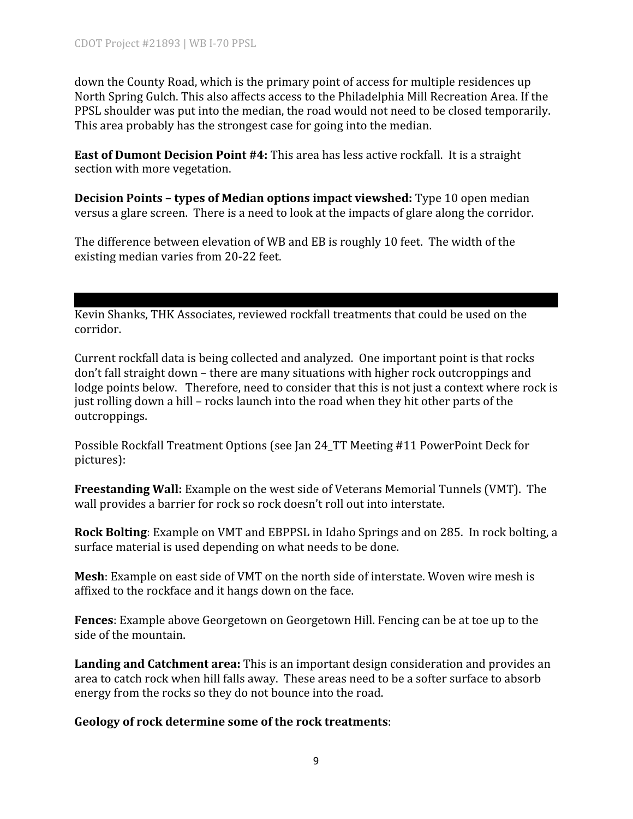down the County Road, which is the primary point of access for multiple residences up North Spring Gulch. This also affects access to the Philadelphia Mill Recreation Area. If the PPSL shoulder was put into the median, the road would not need to be closed temporarily. This area probably has the strongest case for going into the median.

**East of Dumont Decision Point #4:** This area has less active rockfall. It is a straight section with more vegetation.

**Decision Points – types of Median options impact viewshed:** Type 10 open median versus a glare screen. There is a need to look at the impacts of glare along the corridor.

The difference between elevation of WB and EB is roughly 10 feet. The width of the existing median varies from 20-22 feet.

Kevin Shanks, THK Associates, reviewed rockfall treatments that could be used on the corridor.

Current rockfall data is being collected and analyzed. One important point is that rocks don't fall straight down – there are many situations with higher rock outcroppings and lodge points below. Therefore, need to consider that this is not just a context where rock is just rolling down a hill – rocks launch into the road when they hit other parts of the outcroppings.

Possible Rockfall Treatment Options (see Jan 24\_TT Meeting #11 PowerPoint Deck for pictures):

**Freestanding Wall:** Example on the west side of Veterans Memorial Tunnels (VMT). The wall provides a barrier for rock so rock doesn't roll out into interstate.

**Rock Bolting**: Example on VMT and EBPPSL in Idaho Springs and on 285. In rock bolting, a surface material is used depending on what needs to be done.

**Mesh**: Example on east side of VMT on the north side of interstate. Woven wire mesh is affixed to the rockface and it hangs down on the face.

**Fences**: Example above Georgetown on Georgetown Hill. Fencing can be at toe up to the side of the mountain.

**Landing and Catchment area:** This is an important design consideration and provides an area to catch rock when hill falls away. These areas need to be a softer surface to absorb energy from the rocks so they do not bounce into the road.

#### **Geology of rock determine some of the rock treatments**: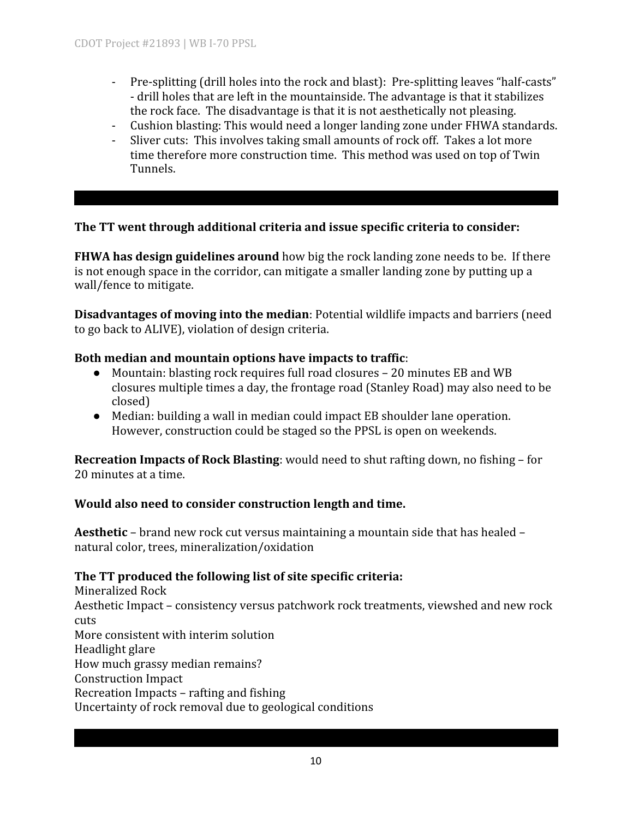- Pre-splitting (drill holes into the rock and blast): Pre-splitting leaves "half-casts" - drill holes that are left in the mountainside. The advantage is that it stabilizes the rock face. The disadvantage is that it is not aesthetically not pleasing.
- Cushion blasting: This would need a longer landing zone under FHWA standards.
- Sliver cuts: This involves taking small amounts of rock off. Takes a lot more time therefore more construction time. This method was used on top of Twin Tunnels.

#### **The TT went through additional criteria and issue specific criteria to consider:**

**FHWA has design guidelines around** how big the rock landing zone needs to be. If there is not enough space in the corridor, can mitigate a smaller landing zone by putting up a wall/fence to mitigate.

**Disadvantages of moving into the median**: Potential wildlife impacts and barriers (need to go back to ALIVE), violation of design criteria.

#### **Both median and mountain options have impacts to traffic**:

- Mountain: blasting rock requires full road closures 20 minutes EB and WB closures multiple times a day, the frontage road (Stanley Road) may also need to be closed)
- Median: building a wall in median could impact EB shoulder lane operation. However, construction could be staged so the PPSL is open on weekends.

**Recreation Impacts of Rock Blasting**: would need to shut rafting down, no fishing – for 20 minutes at a time.

#### **Would also need to consider construction length and time.**

**Aesthetic** – brand new rock cut versus maintaining a mountain side that has healed – natural color, trees, mineralization/oxidation

## **The TT produced the following list of site specific criteria:**

Mineralized Rock Aesthetic Impact – consistency versus patchwork rock treatments, viewshed and new rock cuts More consistent with interim solution Headlight glare How much grassy median remains? Construction Impact Recreation Impacts – rafting and fishing Uncertainty of rock removal due to geological conditions